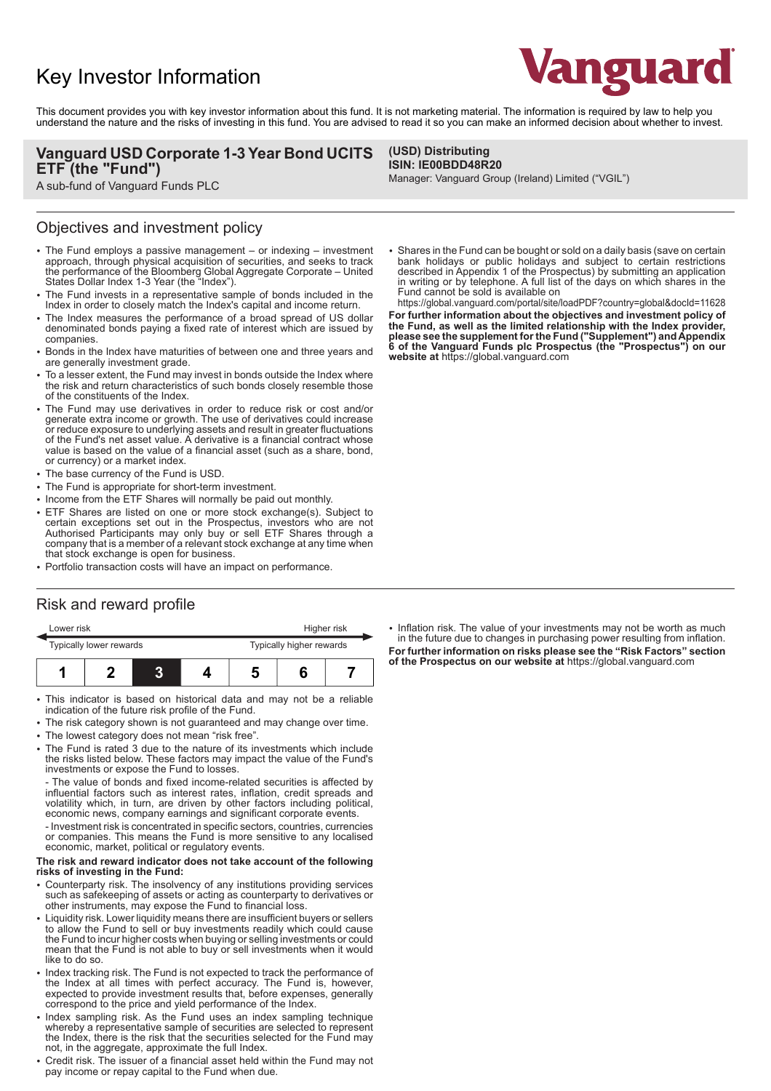# Key Investor Information



This document provides you with key investor information about this fund. It is not marketing material. The information is required by law to help you understand the nature and the risks of investing in this fund. You are advised to read it so you can make an informed decision about whether to invest.

> **(USD) Distributing ISIN: IE00BDD48R20**

### **Vanguard USD Corporate 1-3 Year Bond UCITS ETF (the "Fund")**

A sub-fund of Vanguard Funds PLC

### Objectives and investment policy

- The Fund employs a passive management or indexing investment approach, through physical acquisition of securities, and seeks to track the performance of the Bloomberg Global Aggregate Corporate – United States Dollar Index 1-3 Year (the "Index").
- 2 The Fund invests in a representative sample of bonds included in the Index in order to closely match the Index's capital and income return.
- The Index measures the performance of a broad spread of US dollar denominated bonds paying a fixed rate of interest which are issued by companies.
- 2 Bonds in the Index have maturities of between one and three years and are generally investment grade.
- To a lesser extent, the Fund may invest in bonds outside the Index where the risk and return characteristics of such bonds closely resemble those of the constituents of the Index.
- The Fund may use derivatives in order to reduce risk or cost and/or generate extra income or growth. The use of derivatives could increase or reduce exposure to underlying assets and result in greater fluctuations of the Fund's net asset value. A derivative is a financial contract whose value is based on the value of a financial asset (such as a share, bond, or currency) or a market index.
- The base currency of the Fund is USD.
- The Fund is appropriate for short-term investment.
- Income from the ETF Shares will normally be paid out monthly.
- 2 ETF Shares are listed on one or more stock exchange(s). Subject to certain exceptions set out in the Prospectus, investors who are not Authorised Participants may only buy or sell ETF Shares through a company that is a member of a relevant stock exchange at any time when that stock exchange is open for business.
- Portfolio transaction costs will have an impact on performance.

## Risk and reward profile

| Lower risk              |  |  |  | Higher risk              |  |  |
|-------------------------|--|--|--|--------------------------|--|--|
| Typically lower rewards |  |  |  | Typically higher rewards |  |  |
|                         |  |  |  |                          |  |  |

- This indicator is based on historical data and may not be a reliable indication of the future risk profile of the Fund.
- The risk category shown is not guaranteed and may change over time.
- The lowest category does not mean "risk free".
- 2 The Fund is rated 3 due to the nature of its investments which include the risks listed below. These factors may impact the value of the Fund's investments or expose the Fund to losses.

- The value of bonds and fixed income-related securities is affected by influential factors such as interest rates, inflation, credit spreads and volatility which, in turn, are driven by other factors including political, economic news, company earnings and significant corporate events.

- Investment risk is concentrated in specific sectors, countries, currencies or companies. This means the Fund is more sensitive to any localised economic, market, political or regulatory events.

#### **The risk and reward indicator does not take account of the following risks of investing in the Fund:**

- Counterparty risk. The insolvency of any institutions providing services such as safekeeping of assets or acting as counterparty to derivatives or other instruments, may expose the Fund to financial loss.
- Liquidity risk. Lower liquidity means there are insufficient buyers or sellers to allow the Fund to sell or buy investments readily which could cause the Fund to incur higher costs when buying or selling investments or could mean that the Fund is not able to buy or sell investments when it would like to do so.
- Index tracking risk. The Fund is not expected to track the performance of the Index at all times with perfect accuracy. The Fund is, however, expected to provide investment results that, before expenses, generally correspond to the price and yield performance of the Index.
- Index sampling risk. As the Fund uses an index sampling technique whereby a representative sample of securities are selected to represent the Index, there is the risk that the securities selected for the Fund may not, in the aggregate, approximate the full Index.
- Credit risk. The issuer of a financial asset held within the Fund may not pay income or repay capital to the Fund when due.

2 Shares in the Fund can be bought or sold on a daily basis (save on certain bank holidays or public holidays and subject to certain restrictions described in Appendix 1 of the Prospectus) by submitting an application in writing or by telephone. A full list of the days on which shares in the

Manager: Vanguard Group (Ireland) Limited ("VGIL")

**website at** https://global.vanguard.com

Fund cannot be sold is available on https://global.vanguard.com/portal/site/loadPDF?country=global&docId=11628 **For further information about the objectives and investment policy of the Fund, as well as the limited relationship with the Index provider, please see the supplement for the Fund ("Supplement") and Appendix 6 of the Vanguard Funds plc Prospectus (the "Prospectus") on our**

• Inflation risk. The value of your investments may not be worth as much in the future due to changes in purchasing power resulting from inflation. **For further information on risks please see the "Risk Factors" section of the Prospectus on our website at** https://global.vanguard.com